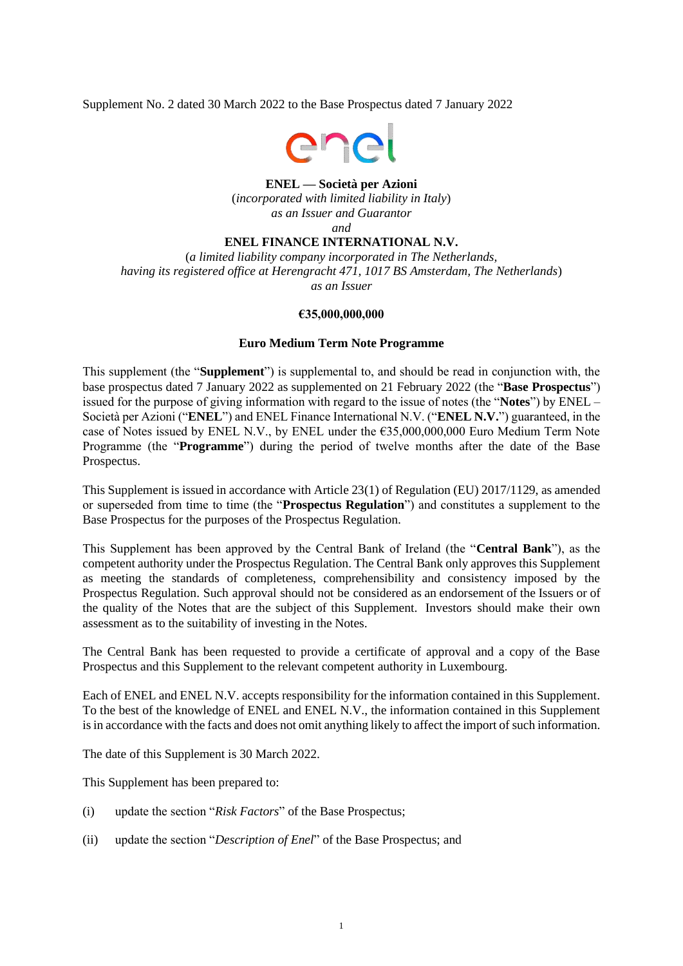Supplement No. 2 dated 30 March 2022 to the Base Prospectus dated 7 January 2022



## **ENEL — Società per Azioni**

(*incorporated with limited liability in Italy*) *as an Issuer and Guarantor and*

# **ENEL FINANCE INTERNATIONAL N.V.**

(*a limited liability company incorporated in The Netherlands, having its registered office at Herengracht 471, 1017 BS Amsterdam, The Netherlands*) *as an Issuer*

### **€35,000,000,000**

## **Euro Medium Term Note Programme**

This supplement (the "**Supplement**") is supplemental to, and should be read in conjunction with, the base prospectus dated 7 January 2022 as supplemented on 21 February 2022 (the "**Base Prospectus**") issued for the purpose of giving information with regard to the issue of notes (the "**Notes**") by ENEL – Società per Azioni ("**ENEL**") and ENEL Finance International N.V. ("**ENEL N.V.**") guaranteed, in the case of Notes issued by ENEL N.V., by ENEL under the  $635,000,000,000$  Euro Medium Term Note Programme (the "**Programme**") during the period of twelve months after the date of the Base Prospectus.

This Supplement is issued in accordance with Article 23(1) of Regulation (EU) 2017/1129, as amended or superseded from time to time (the "**Prospectus Regulation**") and constitutes a supplement to the Base Prospectus for the purposes of the Prospectus Regulation.

This Supplement has been approved by the Central Bank of Ireland (the "**Central Bank**"), as the competent authority under the Prospectus Regulation. The Central Bank only approves this Supplement as meeting the standards of completeness, comprehensibility and consistency imposed by the Prospectus Regulation. Such approval should not be considered as an endorsement of the Issuers or of the quality of the Notes that are the subject of this Supplement. Investors should make their own assessment as to the suitability of investing in the Notes.

The Central Bank has been requested to provide a certificate of approval and a copy of the Base Prospectus and this Supplement to the relevant competent authority in Luxembourg.

Each of ENEL and ENEL N.V. accepts responsibility for the information contained in this Supplement. To the best of the knowledge of ENEL and ENEL N.V., the information contained in this Supplement is in accordance with the facts and does not omit anything likely to affect the import of such information.

The date of this Supplement is 30 March 2022.

This Supplement has been prepared to:

- (i) update the section "*Risk Factors*" of the Base Prospectus;
- (ii) update the section "*Description of Enel*" of the Base Prospectus; and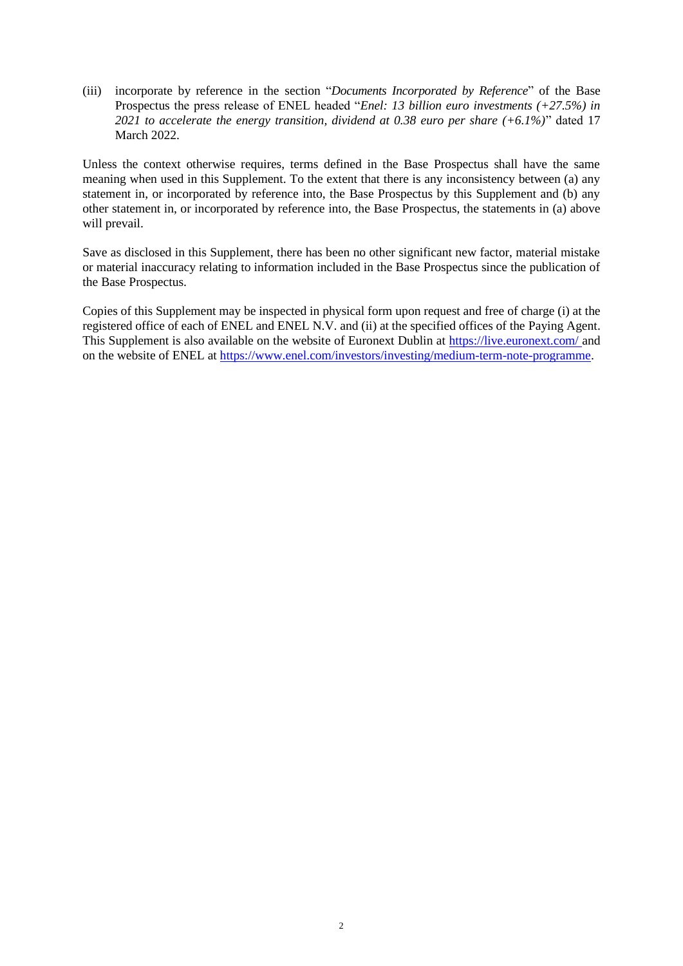(iii) incorporate by reference in the section "*Documents Incorporated by Reference*" of the Base Prospectus the press release of ENEL headed "*Enel: 13 billion euro investments (+27.5%) in 2021 to accelerate the energy transition, dividend at 0.38 euro per share (+6.1%)*" dated 17 March 2022.

Unless the context otherwise requires, terms defined in the Base Prospectus shall have the same meaning when used in this Supplement. To the extent that there is any inconsistency between (a) any statement in, or incorporated by reference into, the Base Prospectus by this Supplement and (b) any other statement in, or incorporated by reference into, the Base Prospectus, the statements in (a) above will prevail.

Save as disclosed in this Supplement, there has been no other significant new factor, material mistake or material inaccuracy relating to information included in the Base Prospectus since the publication of the Base Prospectus.

Copies of this Supplement may be inspected in physical form upon request and free of charge (i) at the registered office of each of ENEL and ENEL N.V. and (ii) at the specified offices of the Paying Agent. This Supplement is also available on the website of Euronext Dublin at<https://live.euronext.com/> and on the website of ENEL a[t https://www.enel.com/investors/investing/medium-term-note-programme.](https://www.enel.com/investors/investing/medium-term-note-programme)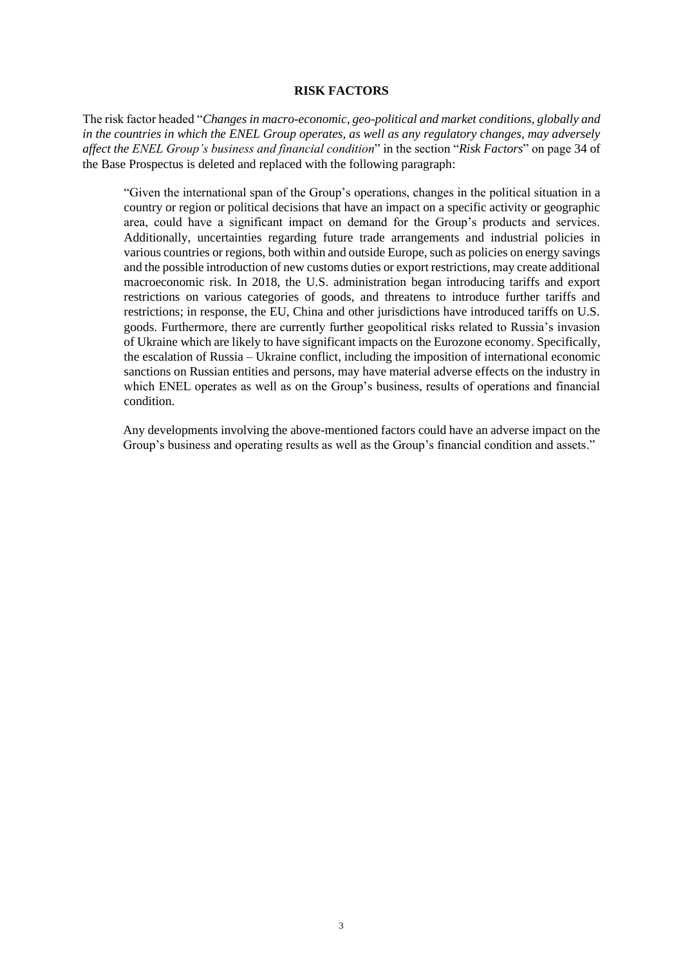#### **RISK FACTORS**

The risk factor headed "*Changes in macro-economic, geo-political and market conditions, globally and in the countries in which the ENEL Group operates, as well as any regulatory changes, may adversely affect the ENEL Group's business and financial condition*" in the section "*Risk Factors*" on page 34 of the Base Prospectus is deleted and replaced with the following paragraph:

"Given the international span of the Group's operations, changes in the political situation in a country or region or political decisions that have an impact on a specific activity or geographic area, could have a significant impact on demand for the Group's products and services. Additionally, uncertainties regarding future trade arrangements and industrial policies in various countries or regions, both within and outside Europe, such as policies on energy savings and the possible introduction of new customs duties or export restrictions, may create additional macroeconomic risk. In 2018, the U.S. administration began introducing tariffs and export restrictions on various categories of goods, and threatens to introduce further tariffs and restrictions; in response, the EU, China and other jurisdictions have introduced tariffs on U.S. goods. Furthermore, there are currently further geopolitical risks related to Russia's invasion of Ukraine which are likely to have significant impacts on the Eurozone economy. Specifically, the escalation of Russia – Ukraine conflict, including the imposition of international economic sanctions on Russian entities and persons, may have material adverse effects on the industry in which ENEL operates as well as on the Group's business, results of operations and financial condition.

Any developments involving the above-mentioned factors could have an adverse impact on the Group's business and operating results as well as the Group's financial condition and assets."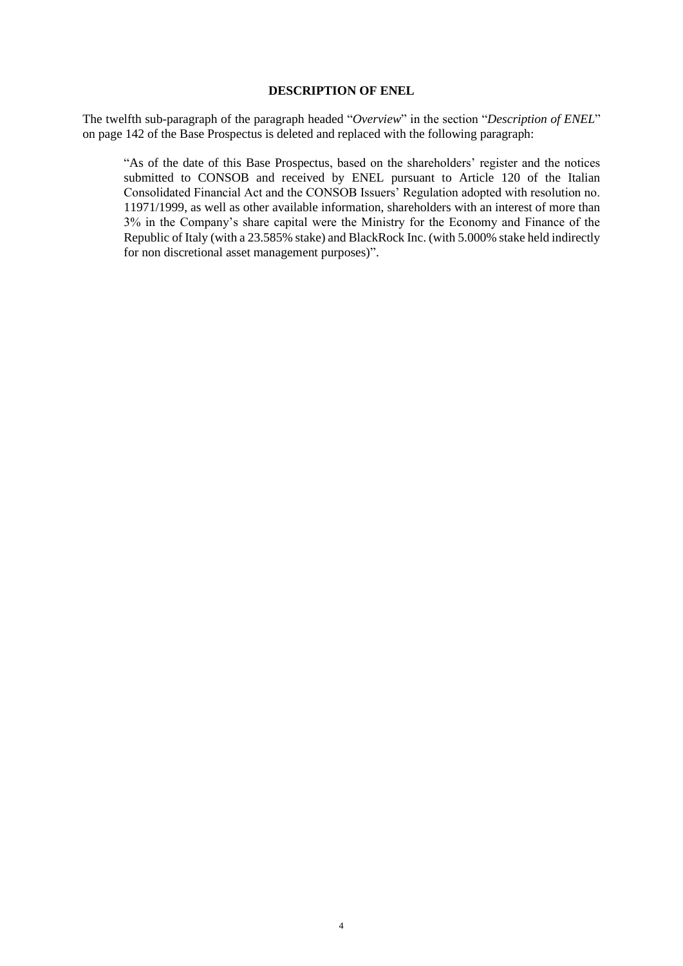#### **DESCRIPTION OF ENEL**

The twelfth sub-paragraph of the paragraph headed "*Overview*" in the section "*Description of ENEL*" on page 142 of the Base Prospectus is deleted and replaced with the following paragraph:

"As of the date of this Base Prospectus, based on the shareholders' register and the notices submitted to CONSOB and received by ENEL pursuant to Article 120 of the Italian Consolidated Financial Act and the CONSOB Issuers' Regulation adopted with resolution no. 11971/1999, as well as other available information, shareholders with an interest of more than 3% in the Company's share capital were the Ministry for the Economy and Finance of the Republic of Italy (with a 23.585% stake) and BlackRock Inc. (with 5.000% stake held indirectly for non discretional asset management purposes)".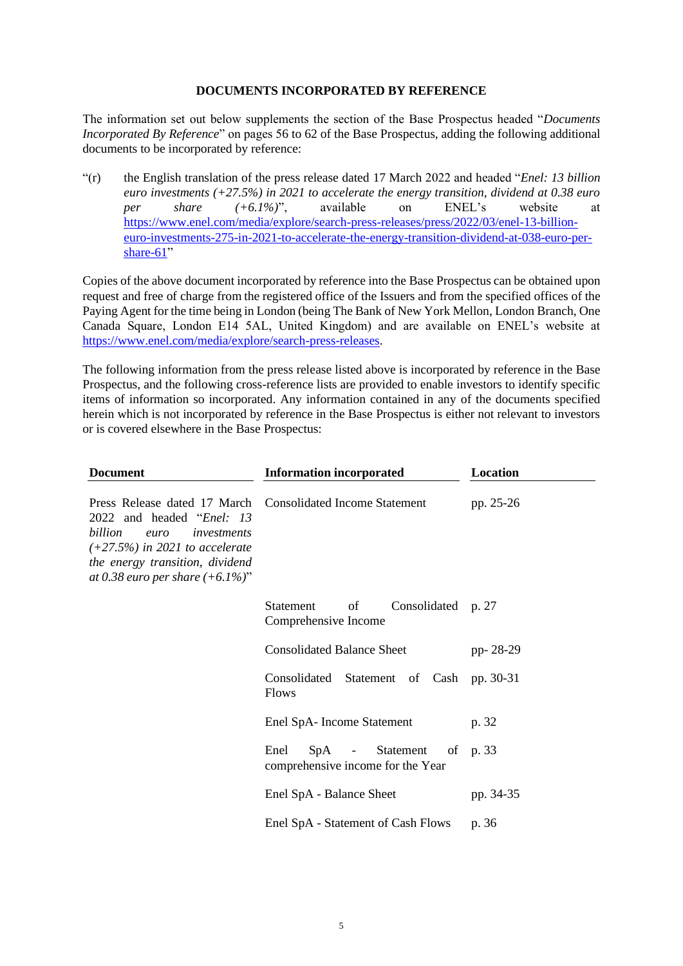# **DOCUMENTS INCORPORATED BY REFERENCE**

The information set out below supplements the section of the Base Prospectus headed "*Documents Incorporated By Reference*" on pages 56 to 62 of the Base Prospectus, adding the following additional documents to be incorporated by reference:

"(r) the English translation of the press release dated 17 March 2022 and headed "*Enel: 13 billion euro investments (+27.5%) in 2021 to accelerate the energy transition, dividend at 0.38 euro per share (+6.1%)*", available on ENEL's website at [https://www.enel.com/media/explore/search-press-releases/press/2022/03/enel-13-billion](https://www.enel.com/media/explore/search-press-releases/press/2022/03/enel-13-billion-euro-investments-275-in-2021-to-accelerate-the-energy-transition-dividend-at-038-euro-per-share-61)[euro-investments-275-in-2021-to-accelerate-the-energy-transition-dividend-at-038-euro-per](https://www.enel.com/media/explore/search-press-releases/press/2022/03/enel-13-billion-euro-investments-275-in-2021-to-accelerate-the-energy-transition-dividend-at-038-euro-per-share-61)[share-61"](https://www.enel.com/media/explore/search-press-releases/press/2022/03/enel-13-billion-euro-investments-275-in-2021-to-accelerate-the-energy-transition-dividend-at-038-euro-per-share-61)

Copies of the above document incorporated by reference into the Base Prospectus can be obtained upon request and free of charge from the registered office of the Issuers and from the specified offices of the Paying Agent for the time being in London (being The Bank of New York Mellon, London Branch, One Canada Square, London E14 5AL, United Kingdom) and are available on ENEL's website at [https://www.enel.com/media/explore/search-press-releases.](https://www.enel.com/media/explore/search-press-releases)

The following information from the press release listed above is incorporated by reference in the Base Prospectus, and the following cross-reference lists are provided to enable investors to identify specific items of information so incorporated. Any information contained in any of the documents specified herein which is not incorporated by reference in the Base Prospectus is either not relevant to investors or is covered elsewhere in the Base Prospectus:

| <b>Document</b>                                                                                                                                                                                                                         | <b>Information incorporated</b>                                       | Location  |
|-----------------------------------------------------------------------------------------------------------------------------------------------------------------------------------------------------------------------------------------|-----------------------------------------------------------------------|-----------|
| Press Release dated 17 March Consolidated Income Statement<br>2022 and headed "Enel: 13<br>billion<br>investments<br>euro<br>$(+27.5%)$ in 2021 to accelerate<br>the energy transition, dividend<br>at 0.38 euro per share $(+6.1\%)$ " |                                                                       | pp. 25-26 |
|                                                                                                                                                                                                                                         | Statement<br>of<br>Consolidated p. 27<br>Comprehensive Income         |           |
|                                                                                                                                                                                                                                         | <b>Consolidated Balance Sheet</b>                                     | pp-28-29  |
|                                                                                                                                                                                                                                         | Consolidated Statement of Cash pp. 30-31<br><b>Flows</b>              |           |
|                                                                                                                                                                                                                                         | Enel SpA-Income Statement                                             | p. 32     |
|                                                                                                                                                                                                                                         | Enel<br>SpA - Statement of p. 33<br>comprehensive income for the Year |           |
|                                                                                                                                                                                                                                         | Enel SpA - Balance Sheet                                              | pp. 34-35 |
|                                                                                                                                                                                                                                         | Enel SpA - Statement of Cash Flows                                    | p. 36     |